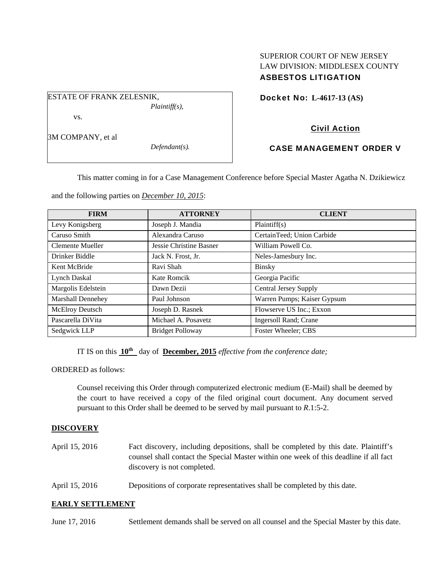# SUPERIOR COURT OF NEW JERSEY LAW DIVISION: MIDDLESEX COUNTY ASBESTOS LITIGATION

Docket No: **L-4617-13 (AS)** 

# Civil Action

# CASE MANAGEMENT ORDER V

This matter coming in for a Case Management Conference before Special Master Agatha N. Dzikiewicz

and the following parties on *December 10, 2015*:

*Plaintiff(s),* 

*Defendant(s).* 

ESTATE OF FRANK ZELESNIK,

vs.

3M COMPANY, et al

| <b>FIRM</b>              | <b>ATTORNEY</b>         | <b>CLIENT</b>                 |
|--------------------------|-------------------------|-------------------------------|
| Levy Konigsberg          | Joseph J. Mandia        | Plaintiff(s)                  |
| Caruso Smith             | Alexandra Caruso        | CertainTeed; Union Carbide    |
| Clemente Mueller         | Jessie Christine Basner | William Powell Co.            |
| Drinker Biddle           | Jack N. Frost, Jr.      | Neles-Jamesbury Inc.          |
| Kent McBride             | Ravi Shah               | <b>Binsky</b>                 |
| <b>Lynch Daskal</b>      | Kate Romcik             | Georgia Pacific               |
| Margolis Edelstein       | Dawn Dezii              | <b>Central Jersey Supply</b>  |
| <b>Marshall Dennehey</b> | Paul Johnson            | Warren Pumps; Kaiser Gypsum   |
| McElroy Deutsch          | Joseph D. Rasnek        | Flowserve US Inc.; Exxon      |
| Pascarella DiVita        | Michael A. Posavetz     | <b>Ingersoll Rand</b> ; Crane |
| Sedgwick LLP             | <b>Bridget Polloway</b> | Foster Wheeler; CBS           |

IT IS on this **10th** day of **December, 2015** *effective from the conference date;*

ORDERED as follows:

Counsel receiving this Order through computerized electronic medium (E-Mail) shall be deemed by the court to have received a copy of the filed original court document. Any document served pursuant to this Order shall be deemed to be served by mail pursuant to *R*.1:5-2.

## **DISCOVERY**

- April 15, 2016 Fact discovery, including depositions, shall be completed by this date. Plaintiff's counsel shall contact the Special Master within one week of this deadline if all fact discovery is not completed.
- April 15, 2016 Depositions of corporate representatives shall be completed by this date.

### **EARLY SETTLEMENT**

June 17, 2016 Settlement demands shall be served on all counsel and the Special Master by this date.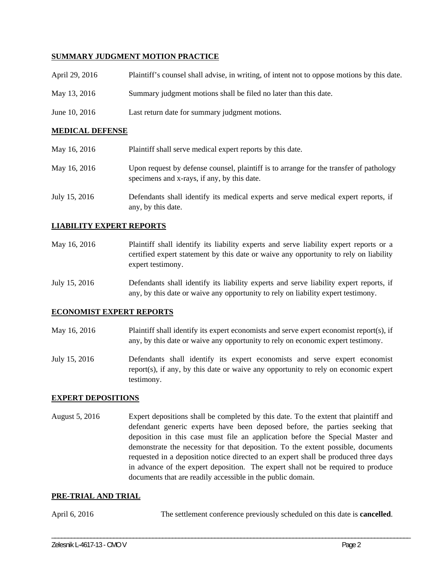### **SUMMARY JUDGMENT MOTION PRACTICE**

| April 29, 2016 | Plaintiff's counsel shall advise, in writing, of intent not to oppose motions by this date. |
|----------------|---------------------------------------------------------------------------------------------|
| May 13, 2016   | Summary judgment motions shall be filed no later than this date.                            |
| June 10, 2016  | Last return date for summary judgment motions.                                              |

### **MEDICAL DEFENSE**

| May 16, 2016  | Plaintiff shall serve medical expert reports by this date.                                                                            |
|---------------|---------------------------------------------------------------------------------------------------------------------------------------|
| May 16, 2016  | Upon request by defense counsel, plaintiff is to arrange for the transfer of pathology<br>specimens and x-rays, if any, by this date. |
| July 15, 2016 | Defendants shall identify its medical experts and serve medical expert reports, if<br>any, by this date.                              |

### **LIABILITY EXPERT REPORTS**

- May 16, 2016 Plaintiff shall identify its liability experts and serve liability expert reports or a certified expert statement by this date or waive any opportunity to rely on liability expert testimony.
- July 15, 2016 Defendants shall identify its liability experts and serve liability expert reports, if any, by this date or waive any opportunity to rely on liability expert testimony.

### **ECONOMIST EXPERT REPORTS**

- May 16, 2016 Plaintiff shall identify its expert economists and serve expert economist report(s), if any, by this date or waive any opportunity to rely on economic expert testimony.
- July 15, 2016 Defendants shall identify its expert economists and serve expert economist report(s), if any, by this date or waive any opportunity to rely on economic expert testimony.

### **EXPERT DEPOSITIONS**

August 5, 2016 Expert depositions shall be completed by this date. To the extent that plaintiff and defendant generic experts have been deposed before, the parties seeking that deposition in this case must file an application before the Special Master and demonstrate the necessity for that deposition. To the extent possible, documents requested in a deposition notice directed to an expert shall be produced three days in advance of the expert deposition. The expert shall not be required to produce documents that are readily accessible in the public domain.

#### **PRE-TRIAL AND TRIAL**

April 6, 2016 The settlement conference previously scheduled on this date is **cancelled**.

\_\_\_\_\_\_\_\_\_\_\_\_\_\_\_\_\_\_\_\_\_\_\_\_\_\_\_\_\_\_\_\_\_\_\_\_\_\_\_\_\_\_\_\_\_\_\_\_\_\_\_\_\_\_\_\_\_\_\_\_\_\_\_\_\_\_\_\_\_\_\_\_\_\_\_\_\_\_\_\_\_\_\_\_\_\_\_\_\_\_\_\_\_\_\_\_\_\_\_\_\_\_\_\_\_\_\_\_\_\_